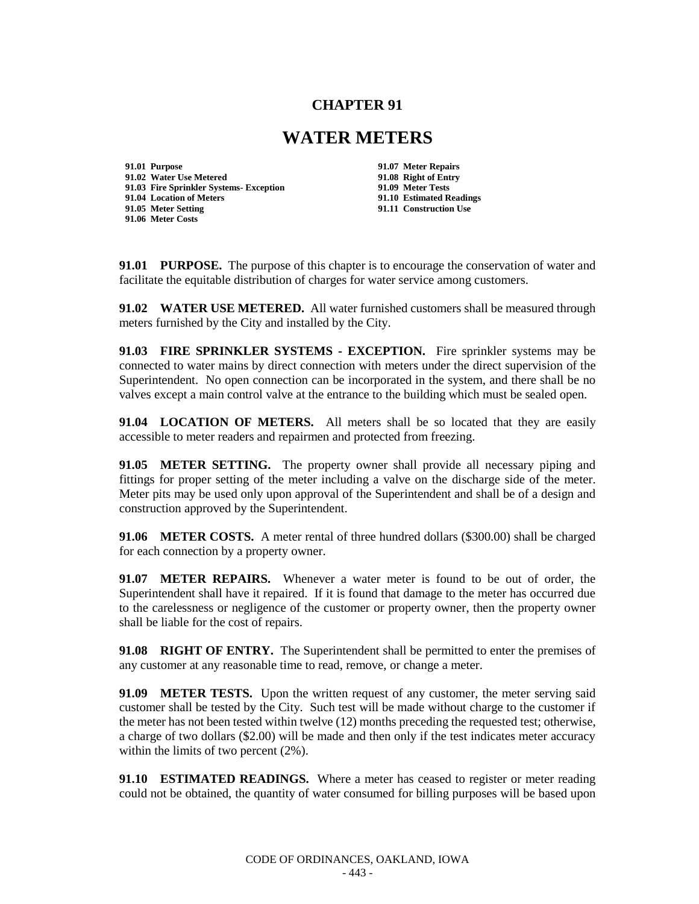## **CHAPTER 91**

## **WATER METERS**

**91.01 Purpose 91.07 Meter Repairs 91.02 Water Use Metered 91.08 Right of Entry 91.03 Fire Sprinkler Systems- Exception 91.04 Location of Meters 91.10 Estimated Readings 91.06 Meter Costs**

**91.11 Construction Use** 

**91.01 PURPOSE.** The purpose of this chapter is to encourage the conservation of water and facilitate the equitable distribution of charges for water service among customers.

**91.02 WATER USE METERED.** All water furnished customers shall be measured through meters furnished by the City and installed by the City.

**91.03 FIRE SPRINKLER SYSTEMS - EXCEPTION.** Fire sprinkler systems may be connected to water mains by direct connection with meters under the direct supervision of the Superintendent. No open connection can be incorporated in the system, and there shall be no valves except a main control valve at the entrance to the building which must be sealed open.

**91.04 LOCATION OF METERS.** All meters shall be so located that they are easily accessible to meter readers and repairmen and protected from freezing.

**91.05 METER SETTING.** The property owner shall provide all necessary piping and fittings for proper setting of the meter including a valve on the discharge side of the meter. Meter pits may be used only upon approval of the Superintendent and shall be of a design and construction approved by the Superintendent.

**91.06 METER COSTS.** A meter rental of three hundred dollars (\$300.00) shall be charged for each connection by a property owner.

**91.07 METER REPAIRS.** Whenever a water meter is found to be out of order, the Superintendent shall have it repaired. If it is found that damage to the meter has occurred due to the carelessness or negligence of the customer or property owner, then the property owner shall be liable for the cost of repairs.

**91.08 RIGHT OF ENTRY.** The Superintendent shall be permitted to enter the premises of any customer at any reasonable time to read, remove, or change a meter.

**91.09 METER TESTS.** Upon the written request of any customer, the meter serving said customer shall be tested by the City. Such test will be made without charge to the customer if the meter has not been tested within twelve (12) months preceding the requested test; otherwise, a charge of two dollars (\$2.00) will be made and then only if the test indicates meter accuracy within the limits of two percent (2%).

**91.10 ESTIMATED READINGS.** Where a meter has ceased to register or meter reading could not be obtained, the quantity of water consumed for billing purposes will be based upon